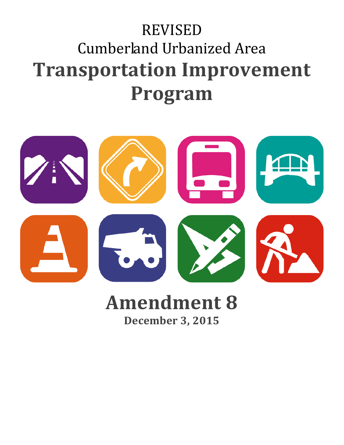# REVISED Cumberland Urbanized Area **Transportation Improvement Program**



# **Amendment 8**

**December 3, 2015**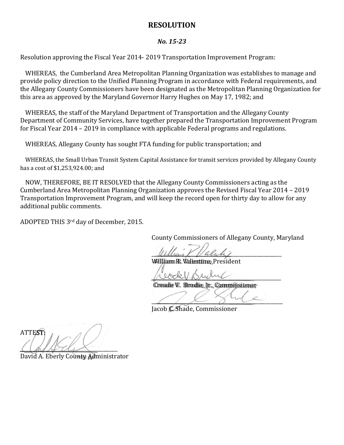### **RESOLUTION**

#### *No. 15-23*

Resolution approving the Fiscal Year 2014- 2019 Transportation Improvement Program:

WHEREAS, the Cumberland Area Metropolitan Planning Organization was establishes to manage and provide policy direction to the Unified Planning Program in accordance with Federal requirements, and the Allegany County Commissioners have been designated as the Metropolitan Planning Organization for this area as approved by the Maryland Governor Harry Hughes on May 17, 1982; and

WHEREAS, the staff of the Maryland Department of Transportation and the Allegany County Department of Community Services, have together prepared the Transportation Improvement Program for Fiscal Year 2014 – 2019 in compliance with applicable Federal programs and regulations.

WHEREAS, Allegany County has sought FTA funding for public transportation; and

WHEREAS, the Small Urban Transit System Capital Assistance for transit services provided by Allegany County has a cost of \$1,253,924.00; and

NOW, THEREFORE, BE IT RESOLVED that the Allegany County Commissioners acting as the Cumberland Area Metropolitan Planning Organization approves the Revised Fiscal Year 2014 – 2019 Transportation Improvement Program, and will keep the record open for thirty day to allow for any additional public comments.

ADOPTED THIS 3rd day of December, 2015.

County Commissioners of Allegany County, Maryland

 $\mathcal{U}$ 

William R. Valentine, President

*\_\_\_\_\_\_\_\_\_\_\_\_\_\_\_\_\_\_\_\_\_\_\_\_\_\_\_\_\_\_\_\_\_\_\_\_\_\_\_\_\_\_\_\_\_\_\_\_\_\_\_\_* Creade V. Brodie, Jr., Commissioner

 $\angle$   $\angle$   $\angle$   $\angle$   $\angle$   $\triangle$ Jacob C. Shade, Commissioner

ATTEST:  $\Box$ 

David A. Eberly County Administrator